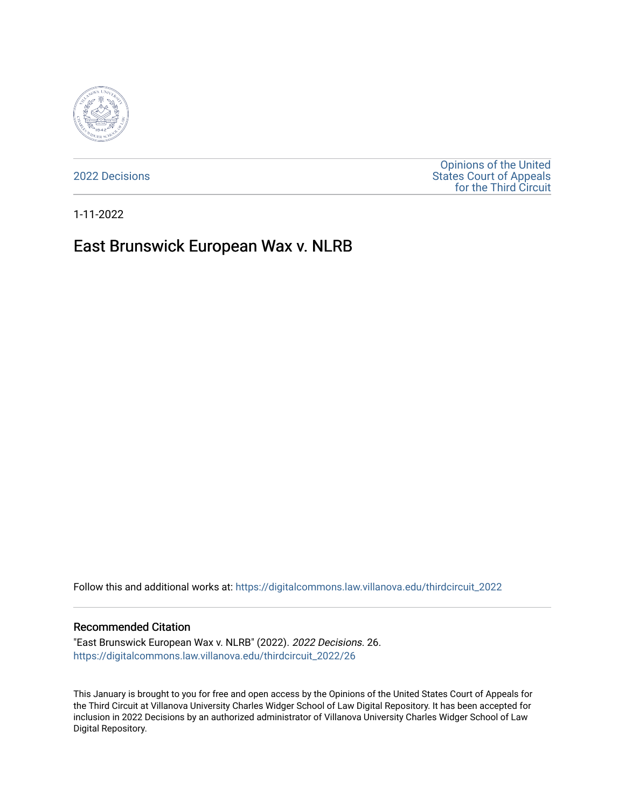

[2022 Decisions](https://digitalcommons.law.villanova.edu/thirdcircuit_2022)

[Opinions of the United](https://digitalcommons.law.villanova.edu/thirdcircuit)  [States Court of Appeals](https://digitalcommons.law.villanova.edu/thirdcircuit)  [for the Third Circuit](https://digitalcommons.law.villanova.edu/thirdcircuit) 

1-11-2022

# East Brunswick European Wax v. NLRB

Follow this and additional works at: [https://digitalcommons.law.villanova.edu/thirdcircuit\\_2022](https://digitalcommons.law.villanova.edu/thirdcircuit_2022?utm_source=digitalcommons.law.villanova.edu%2Fthirdcircuit_2022%2F26&utm_medium=PDF&utm_campaign=PDFCoverPages) 

#### Recommended Citation

"East Brunswick European Wax v. NLRB" (2022). 2022 Decisions. 26. [https://digitalcommons.law.villanova.edu/thirdcircuit\\_2022/26](https://digitalcommons.law.villanova.edu/thirdcircuit_2022/26?utm_source=digitalcommons.law.villanova.edu%2Fthirdcircuit_2022%2F26&utm_medium=PDF&utm_campaign=PDFCoverPages)

This January is brought to you for free and open access by the Opinions of the United States Court of Appeals for the Third Circuit at Villanova University Charles Widger School of Law Digital Repository. It has been accepted for inclusion in 2022 Decisions by an authorized administrator of Villanova University Charles Widger School of Law Digital Repository.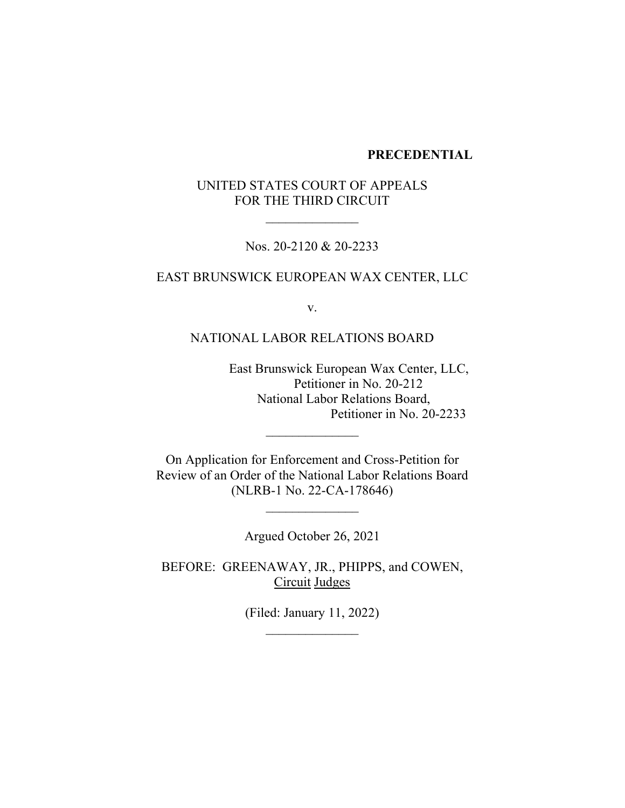#### **PRECEDENTIAL**

# UNITED STATES COURT OF APPEALS FOR THE THIRD CIRCUIT

 $\frac{1}{2}$ 

Nos. 20-2120 & 20-2233

# EAST BRUNSWICK EUROPEAN WAX CENTER, LLC

v.

### NATIONAL LABOR RELATIONS BOARD

East Brunswick European Wax Center, LLC, Petitioner in No. 20-212 National Labor Relations Board, Petitioner in No. 20-2233

On Application for Enforcement and Cross-Petition for Review of an Order of the National Labor Relations Board (NLRB-1 No. 22-CA-178646)

 $\overline{\phantom{a}}$  , where  $\overline{\phantom{a}}$ 

 $\frac{1}{2}$ 

Argued October 26, 2021

BEFORE: GREENAWAY, JR., PHIPPS, and COWEN, Circuit Judges

> (Filed: January 11, 2022)  $\overline{\phantom{a}}$  , where  $\overline{\phantom{a}}$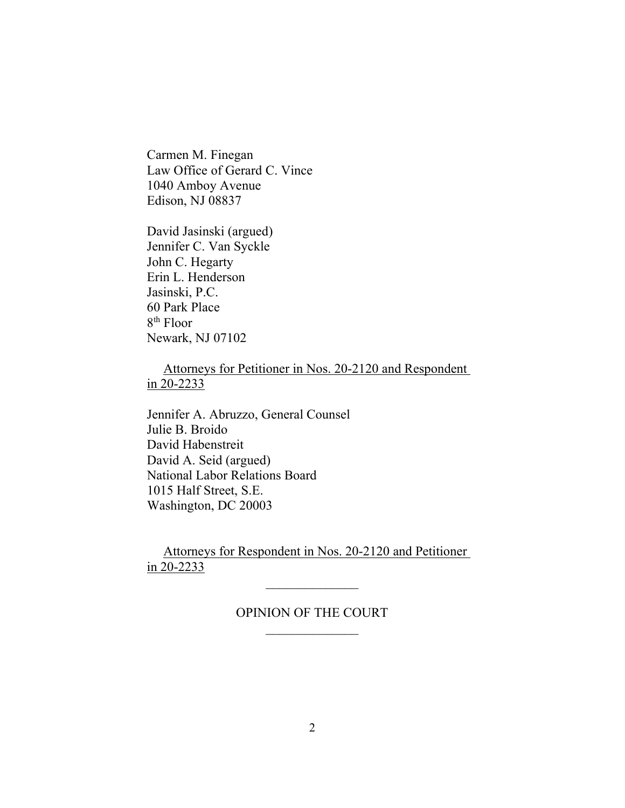Carmen M. Finegan Law Office of Gerard C. Vince 1040 Amboy Avenue Edison, NJ 08837

David Jasinski (argued) Jennifer C. Van Syckle John C. Hegarty Erin L. Henderson Jasinski, P.C. 60 Park Place 8th Floor Newark, NJ 07102

 Attorneys for Petitioner in Nos. 20-2120 and Respondent in 20-2233

Jennifer A. Abruzzo, General Counsel Julie B. Broido David Habenstreit David A. Seid (argued) National Labor Relations Board 1015 Half Street, S.E. Washington, DC 20003

 Attorneys for Respondent in Nos. 20-2120 and Petitioner in 20-2233

# OPINION OF THE COURT  $\overline{\phantom{a}}$  , where  $\overline{\phantom{a}}$

 $\frac{1}{2}$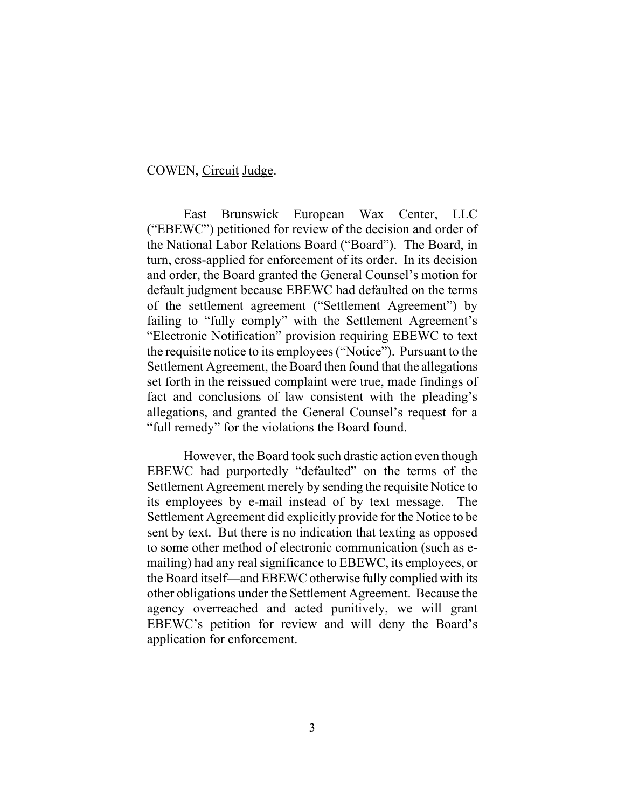#### COWEN, Circuit Judge.

East Brunswick European Wax Center, LLC ("EBEWC") petitioned for review of the decision and order of the National Labor Relations Board ("Board"). The Board, in turn, cross-applied for enforcement of its order. In its decision and order, the Board granted the General Counsel's motion for default judgment because EBEWC had defaulted on the terms of the settlement agreement ("Settlement Agreement") by failing to "fully comply" with the Settlement Agreement's "Electronic Notification" provision requiring EBEWC to text the requisite notice to its employees("Notice"). Pursuant to the Settlement Agreement, the Board then found that the allegations set forth in the reissued complaint were true, made findings of fact and conclusions of law consistent with the pleading's allegations, and granted the General Counsel's request for a "full remedy" for the violations the Board found.

However, the Board took such drastic action even though EBEWC had purportedly "defaulted" on the terms of the Settlement Agreement merely by sending the requisite Notice to its employees by e-mail instead of by text message. The Settlement Agreement did explicitly provide for the Notice to be sent by text. But there is no indication that texting as opposed to some other method of electronic communication (such as emailing) had any real significance to EBEWC, its employees, or the Board itself—and EBEWC otherwise fully complied with its other obligations under the Settlement Agreement. Because the agency overreached and acted punitively, we will grant EBEWC's petition for review and will deny the Board's application for enforcement.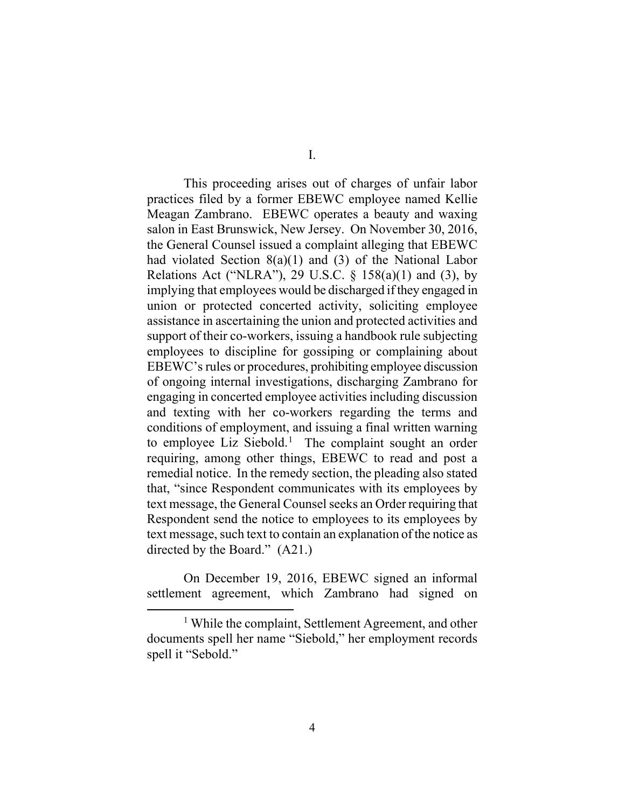I.

This proceeding arises out of charges of unfair labor practices filed by a former EBEWC employee named Kellie Meagan Zambrano. EBEWC operates a beauty and waxing salon in East Brunswick, New Jersey. On November 30, 2016, the General Counsel issued a complaint alleging that EBEWC had violated Section 8(a)(1) and (3) of the National Labor Relations Act ("NLRA"), 29 U.S.C.  $\S$  158(a)(1) and (3), by implying that employees would be discharged if they engaged in union or protected concerted activity, soliciting employee assistance in ascertaining the union and protected activities and support of their co-workers, issuing a handbook rule subjecting employees to discipline for gossiping or complaining about EBEWC's rules or procedures, prohibiting employee discussion of ongoing internal investigations, discharging Zambrano for engaging in concerted employee activities including discussion and texting with her co-workers regarding the terms and conditions of employment, and issuing a final written warning to employee Liz Siebold.<sup>1</sup> The complaint sought an order requiring, among other things, EBEWC to read and post a remedial notice. In the remedy section, the pleading also stated that, "since Respondent communicates with its employees by text message, the General Counsel seeks an Order requiring that Respondent send the notice to employees to its employees by text message, such text to contain an explanation of the notice as directed by the Board." (A21.)

On December 19, 2016, EBEWC signed an informal settlement agreement, which Zambrano had signed on

<sup>1</sup> While the complaint, Settlement Agreement, and other documents spell her name "Siebold," her employment records spell it "Sebold."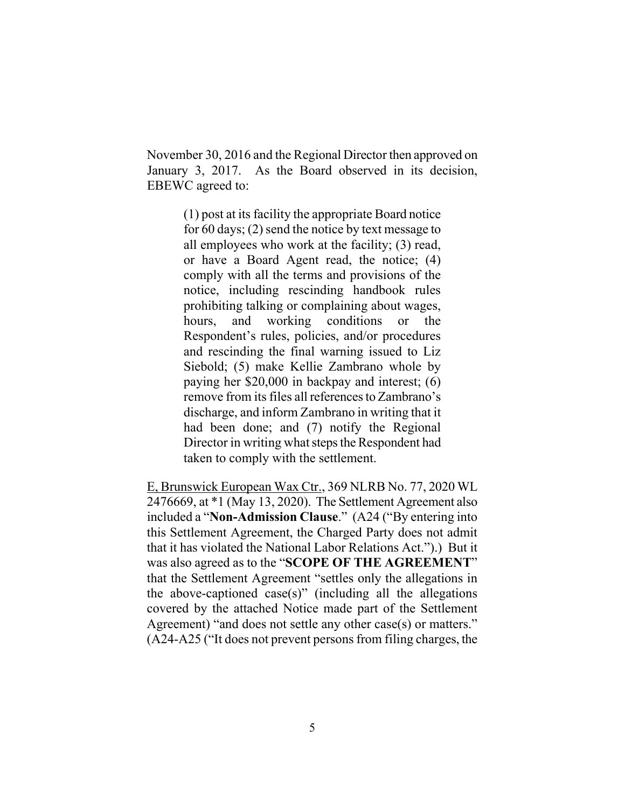November 30, 2016 and the Regional Director then approved on January 3, 2017. As the Board observed in its decision, EBEWC agreed to:

> (1) post at its facility the appropriate Board notice for 60 days; (2) send the notice by text message to all employees who work at the facility; (3) read, or have a Board Agent read, the notice; (4) comply with all the terms and provisions of the notice, including rescinding handbook rules prohibiting talking or complaining about wages, hours, and working conditions or the Respondent's rules, policies, and/or procedures and rescinding the final warning issued to Liz Siebold; (5) make Kellie Zambrano whole by paying her \$20,000 in backpay and interest; (6) remove from its files all references to Zambrano's discharge, and inform Zambrano in writing that it had been done; and (7) notify the Regional Director in writing what steps the Respondent had taken to comply with the settlement.

E, Brunswick European Wax Ctr., 369 NLRB No. 77, 2020 WL 2476669, at \*1 (May 13, 2020). The Settlement Agreement also included a "**Non-Admission Clause**." (A24 ("By entering into this Settlement Agreement, the Charged Party does not admit that it has violated the National Labor Relations Act.").) But it was also agreed as to the "**SCOPE OF THE AGREEMENT**" that the Settlement Agreement "settles only the allegations in the above-captioned case(s)" (including all the allegations covered by the attached Notice made part of the Settlement Agreement) "and does not settle any other case(s) or matters." (A24-A25 ("It does not prevent persons from filing charges, the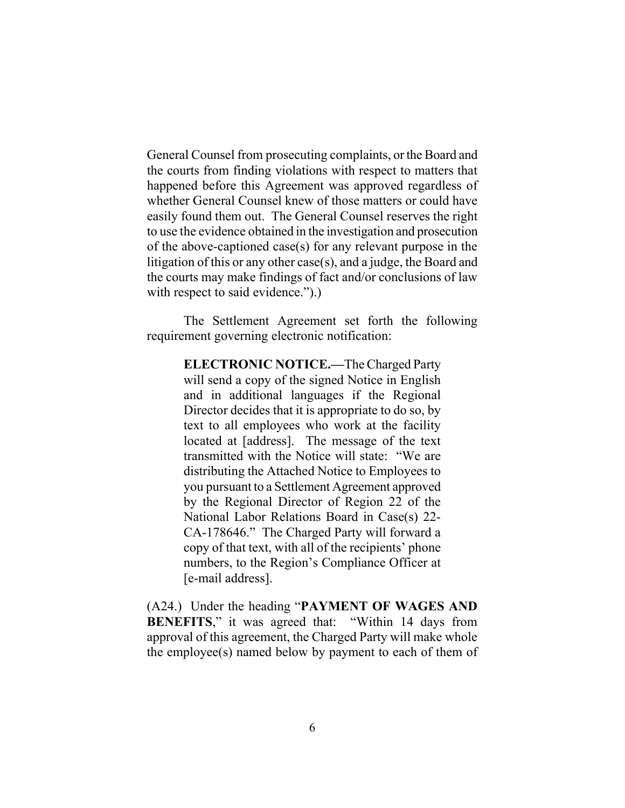General Counsel from prosecuting complaints, or the Board and the courts from finding violations with respect to matters that happened before this Agreement was approved regardless of whether General Counsel knew of those matters or could have easily found them out. The General Counsel reserves the right to use the evidence obtained in the investigation and prosecution of the above-captioned case(s) for any relevant purpose in the litigation of this or any other case(s), and a judge, the Board and the courts may make findings of fact and/or conclusions of law with respect to said evidence.").

The Settlement Agreement set forth the following requirement governing electronic notification:

> **ELECTRONIC NOTICE.—**The Charged Party will send a copy of the signed Notice in English and in additional languages if the Regional Director decides that it is appropriate to do so, by text to all employees who work at the facility located at [address]. The message of the text transmitted with the Notice will state: "We are distributing the Attached Notice to Employees to you pursuant to a Settlement Agreement approved by the Regional Director of Region 22 of the National Labor Relations Board in Case(s) 22- CA-178646." The Charged Party will forward a copy of that text, with all of the recipients' phone numbers, to the Region's Compliance Officer at [e-mail address].

(A24.) Under the heading "**PAYMENT OF WAGES AND BENEFITS**," it was agreed that: "Within 14 days from approval of this agreement, the Charged Party will make whole the employee(s) named below by payment to each of them of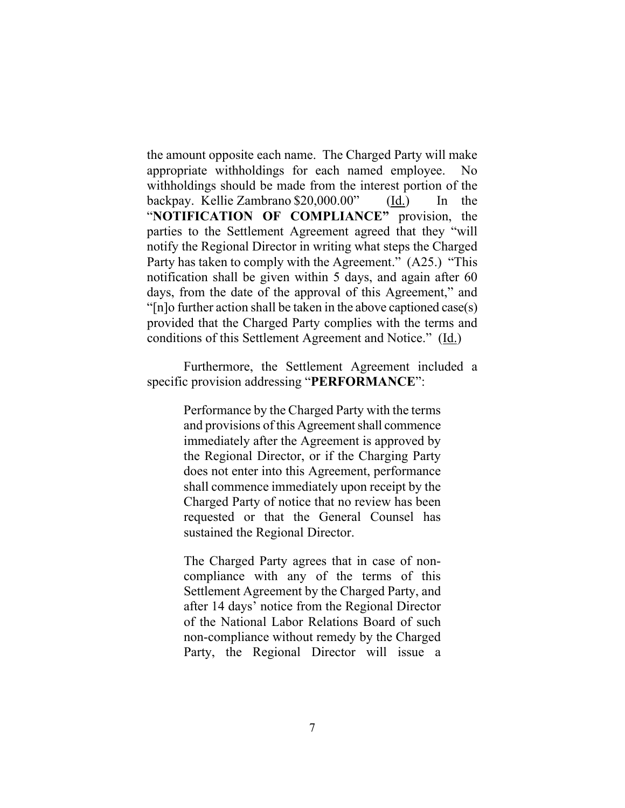the amount opposite each name. The Charged Party will make appropriate withholdings for each named employee. No withholdings should be made from the interest portion of the backpay. Kellie Zambrano \$20,000.00" (Id.) In the "**NOTIFICATION OF COMPLIANCE"** provision, the parties to the Settlement Agreement agreed that they "will notify the Regional Director in writing what steps the Charged Party has taken to comply with the Agreement." (A25.) "This notification shall be given within 5 days, and again after 60 days, from the date of the approval of this Agreement," and "[n]o further action shall be taken in the above captioned case(s) provided that the Charged Party complies with the terms and conditions of this Settlement Agreement and Notice." (Id.)

Furthermore, the Settlement Agreement included a specific provision addressing "**PERFORMANCE**":

> Performance by the Charged Party with the terms and provisions of this Agreement shall commence immediately after the Agreement is approved by the Regional Director, or if the Charging Party does not enter into this Agreement, performance shall commence immediately upon receipt by the Charged Party of notice that no review has been requested or that the General Counsel has sustained the Regional Director.

> The Charged Party agrees that in case of noncompliance with any of the terms of this Settlement Agreement by the Charged Party, and after 14 days' notice from the Regional Director of the National Labor Relations Board of such non-compliance without remedy by the Charged Party, the Regional Director will issue a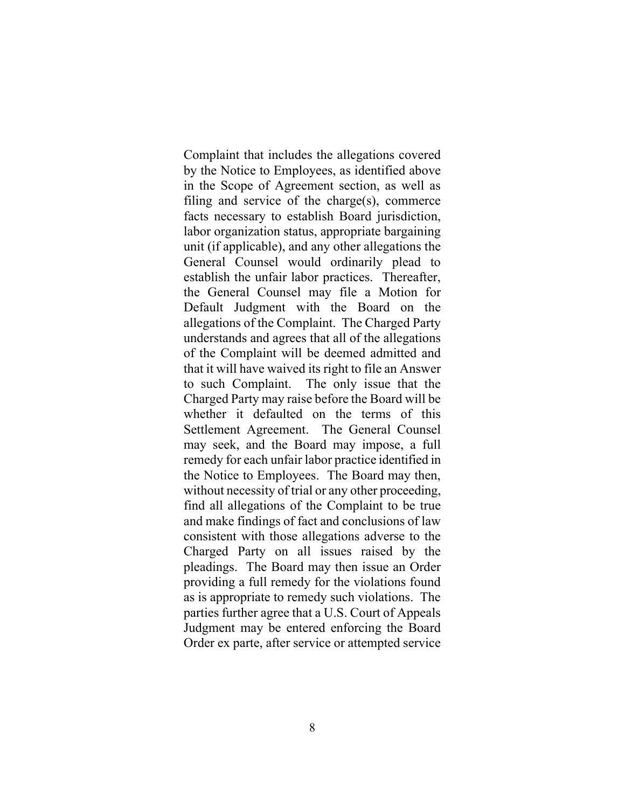Complaint that includes the allegations covered by the Notice to Employees, as identified above in the Scope of Agreement section, as well as filing and service of the charge(s), commerce facts necessary to establish Board jurisdiction, labor organization status, appropriate bargaining unit (if applicable), and any other allegations the General Counsel would ordinarily plead to establish the unfair labor practices. Thereafter, the General Counsel may file a Motion for Default Judgment with the Board on the allegations of the Complaint. The Charged Party understands and agrees that all of the allegations of the Complaint will be deemed admitted and that it will have waived its right to file an Answer to such Complaint. The only issue that the Charged Party may raise before the Board will be whether it defaulted on the terms of this Settlement Agreement. The General Counsel may seek, and the Board may impose, a full remedy for each unfair labor practice identified in the Notice to Employees. The Board may then, without necessity of trial or any other proceeding, find all allegations of the Complaint to be true and make findings of fact and conclusions of law consistent with those allegations adverse to the Charged Party on all issues raised by the pleadings. The Board may then issue an Order providing a full remedy for the violations found as is appropriate to remedy such violations. The parties further agree that a U.S. Court of Appeals Judgment may be entered enforcing the Board Order ex parte, after service or attempted service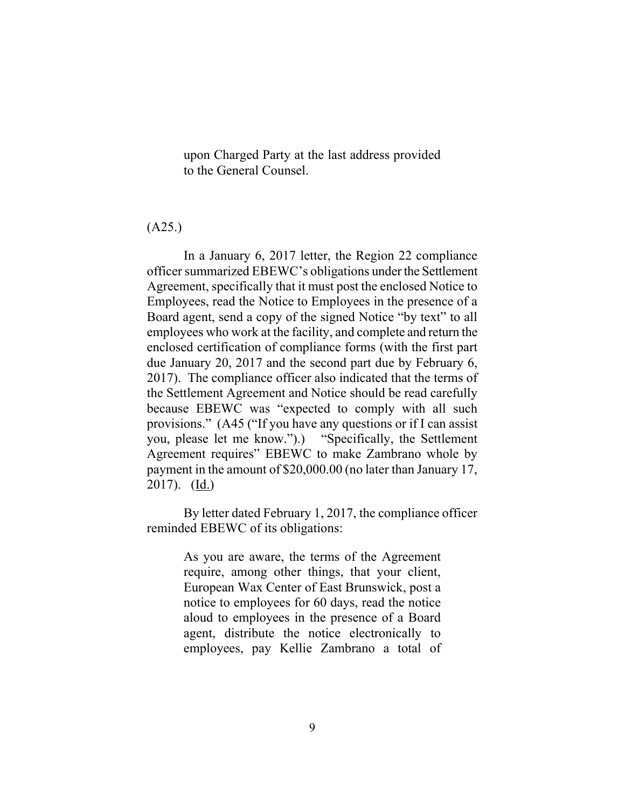upon Charged Party at the last address provided to the General Counsel.

#### (A25.)

In a January 6, 2017 letter, the Region 22 compliance officer summarized EBEWC's obligations under the Settlement Agreement, specifically that it must post the enclosed Notice to Employees, read the Notice to Employees in the presence of a Board agent, send a copy of the signed Notice "by text" to all employees who work at the facility, and complete and return the enclosed certification of compliance forms (with the first part due January 20, 2017 and the second part due by February 6, 2017). The compliance officer also indicated that the terms of the Settlement Agreement and Notice should be read carefully because EBEWC was "expected to comply with all such provisions." (A45 ("If you have any questions or if I can assist you, please let me know.").) "Specifically, the Settlement Agreement requires" EBEWC to make Zambrano whole by payment in the amount of \$20,000.00 (no later than January 17, 2017).  $(\underline{Id.})$ 

By letter dated February 1, 2017, the compliance officer reminded EBEWC of its obligations:

> As you are aware, the terms of the Agreement require, among other things, that your client, European Wax Center of East Brunswick, post a notice to employees for 60 days, read the notice aloud to employees in the presence of a Board agent, distribute the notice electronically to employees, pay Kellie Zambrano a total of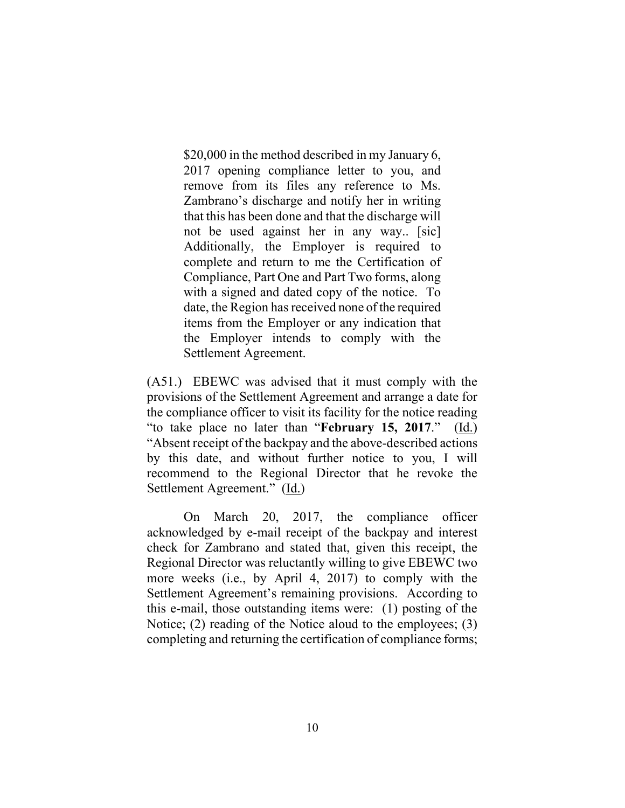\$20,000 in the method described in my January 6, 2017 opening compliance letter to you, and remove from its files any reference to Ms. Zambrano's discharge and notify her in writing that this has been done and that the discharge will not be used against her in any way.. [sic] Additionally, the Employer is required to complete and return to me the Certification of Compliance, Part One and Part Two forms, along with a signed and dated copy of the notice. To date, the Region has received none of the required items from the Employer or any indication that the Employer intends to comply with the Settlement Agreement.

(A51.) EBEWC was advised that it must comply with the provisions of the Settlement Agreement and arrange a date for the compliance officer to visit its facility for the notice reading "to take place no later than "**February 15, 2017**." (Id.) "Absent receipt of the backpay and the above-described actions by this date, and without further notice to you, I will recommend to the Regional Director that he revoke the Settlement Agreement." (Id.)

On March 20, 2017, the compliance officer acknowledged by e-mail receipt of the backpay and interest check for Zambrano and stated that, given this receipt, the Regional Director was reluctantly willing to give EBEWC two more weeks (i.e., by April 4, 2017) to comply with the Settlement Agreement's remaining provisions. According to this e-mail, those outstanding items were: (1) posting of the Notice; (2) reading of the Notice aloud to the employees; (3) completing and returning the certification of compliance forms;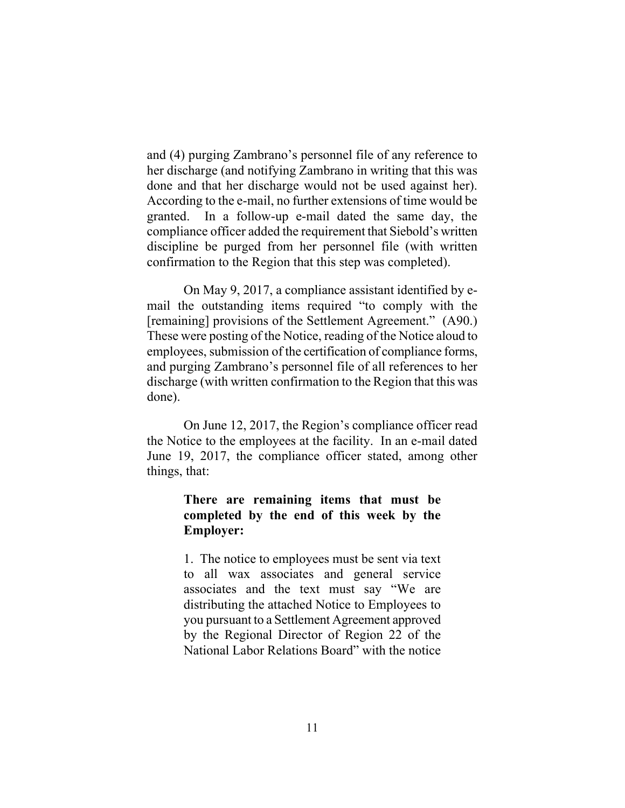and (4) purging Zambrano's personnel file of any reference to her discharge (and notifying Zambrano in writing that this was done and that her discharge would not be used against her). According to the e-mail, no further extensions of time would be granted. In a follow-up e-mail dated the same day, the compliance officer added the requirement that Siebold's written discipline be purged from her personnel file (with written confirmation to the Region that this step was completed).

On May 9, 2017, a compliance assistant identified by email the outstanding items required "to comply with the [remaining] provisions of the Settlement Agreement." (A90.) These were posting of the Notice, reading of the Notice aloud to employees, submission of the certification of compliance forms, and purging Zambrano's personnel file of all references to her discharge (with written confirmation to the Region that this was done).

On June 12, 2017, the Region's compliance officer read the Notice to the employees at the facility. In an e-mail dated June 19, 2017, the compliance officer stated, among other things, that:

### **There are remaining items that must be completed by the end of this week by the Employer:**

1. The notice to employees must be sent via text to all wax associates and general service associates and the text must say "We are distributing the attached Notice to Employees to you pursuant to a Settlement Agreement approved by the Regional Director of Region 22 of the National Labor Relations Board" with the notice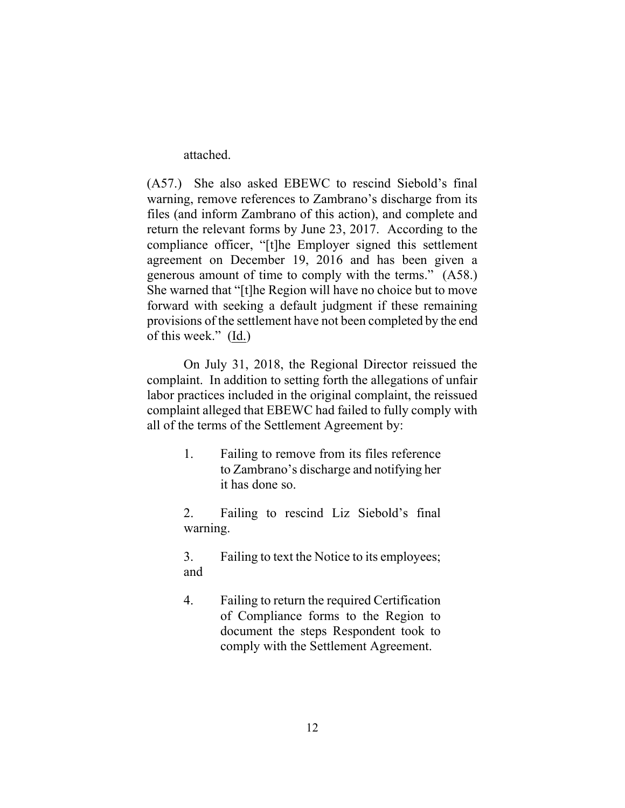attached.

(A57.) She also asked EBEWC to rescind Siebold's final warning, remove references to Zambrano's discharge from its files (and inform Zambrano of this action), and complete and return the relevant forms by June 23, 2017. According to the compliance officer, "[t]he Employer signed this settlement agreement on December 19, 2016 and has been given a generous amount of time to comply with the terms." (A58.) She warned that "[t]he Region will have no choice but to move forward with seeking a default judgment if these remaining provisions of the settlement have not been completed by the end of this week."  $(\underline{Id})$ 

On July 31, 2018, the Regional Director reissued the complaint. In addition to setting forth the allegations of unfair labor practices included in the original complaint, the reissued complaint alleged that EBEWC had failed to fully comply with all of the terms of the Settlement Agreement by:

> 1. Failing to remove from its files reference to Zambrano's discharge and notifying her it has done so.

> 2. Failing to rescind Liz Siebold's final warning.

> 3. Failing to text the Notice to its employees; and

> 4. Failing to return the required Certification of Compliance forms to the Region to document the steps Respondent took to comply with the Settlement Agreement.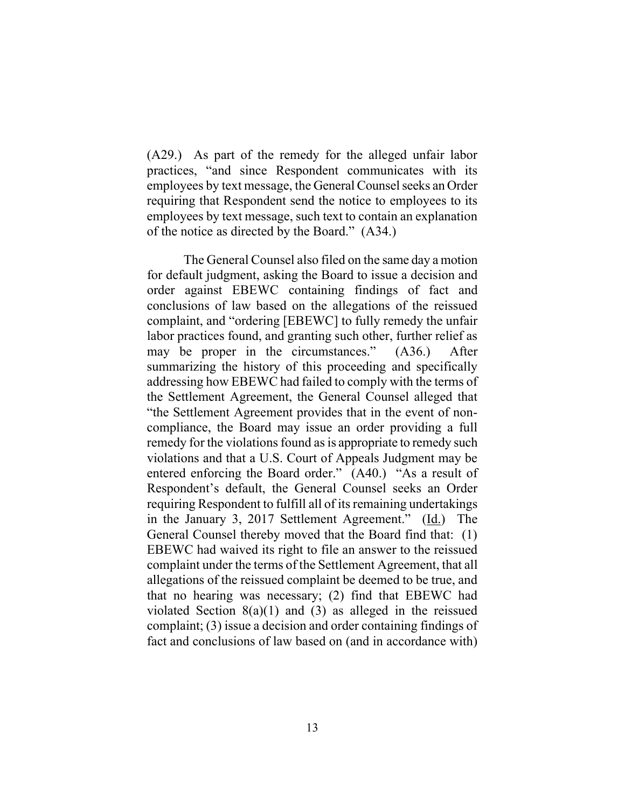(A29.) As part of the remedy for the alleged unfair labor practices, "and since Respondent communicates with its employees by text message, the General Counsel seeks an Order requiring that Respondent send the notice to employees to its employees by text message, such text to contain an explanation of the notice as directed by the Board." (A34.)

The General Counsel also filed on the same day a motion for default judgment, asking the Board to issue a decision and order against EBEWC containing findings of fact and conclusions of law based on the allegations of the reissued complaint, and "ordering [EBEWC] to fully remedy the unfair labor practices found, and granting such other, further relief as may be proper in the circumstances." (A36.) After summarizing the history of this proceeding and specifically addressing how EBEWC had failed to comply with the terms of the Settlement Agreement, the General Counsel alleged that "the Settlement Agreement provides that in the event of noncompliance, the Board may issue an order providing a full remedy for the violations found as is appropriate to remedy such violations and that a U.S. Court of Appeals Judgment may be entered enforcing the Board order." (A40.) "As a result of Respondent's default, the General Counsel seeks an Order requiring Respondent to fulfill all of its remaining undertakings in the January 3, 2017 Settlement Agreement." (Id.) The General Counsel thereby moved that the Board find that: (1) EBEWC had waived its right to file an answer to the reissued complaint under the terms of the Settlement Agreement, that all allegations of the reissued complaint be deemed to be true, and that no hearing was necessary; (2) find that EBEWC had violated Section  $8(a)(1)$  and  $(3)$  as alleged in the reissued complaint; (3) issue a decision and order containing findings of fact and conclusions of law based on (and in accordance with)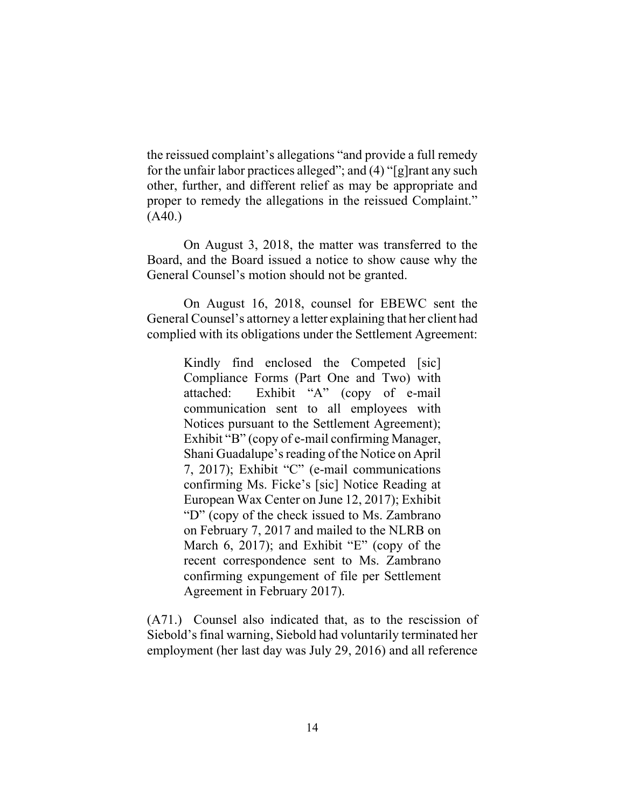the reissued complaint's allegations "and provide a full remedy for the unfair labor practices alleged"; and (4) "[g]rant any such other, further, and different relief as may be appropriate and proper to remedy the allegations in the reissued Complaint." (A40.)

On August 3, 2018, the matter was transferred to the Board, and the Board issued a notice to show cause why the General Counsel's motion should not be granted.

On August 16, 2018, counsel for EBEWC sent the General Counsel's attorney a letter explaining that her client had complied with its obligations under the Settlement Agreement:

> Kindly find enclosed the Competed [sic] Compliance Forms (Part One and Two) with attached: Exhibit "A" (copy of e-mail communication sent to all employees with Notices pursuant to the Settlement Agreement); Exhibit "B" (copy of e-mail confirming Manager, Shani Guadalupe's reading of the Notice on April 7, 2017); Exhibit "C" (e-mail communications confirming Ms. Ficke's [sic] Notice Reading at European Wax Center on June 12, 2017); Exhibit "D" (copy of the check issued to Ms. Zambrano on February 7, 2017 and mailed to the NLRB on March 6, 2017); and Exhibit "E" (copy of the recent correspondence sent to Ms. Zambrano confirming expungement of file per Settlement Agreement in February 2017).

(A71.) Counsel also indicated that, as to the rescission of Siebold's final warning, Siebold had voluntarily terminated her employment (her last day was July 29, 2016) and all reference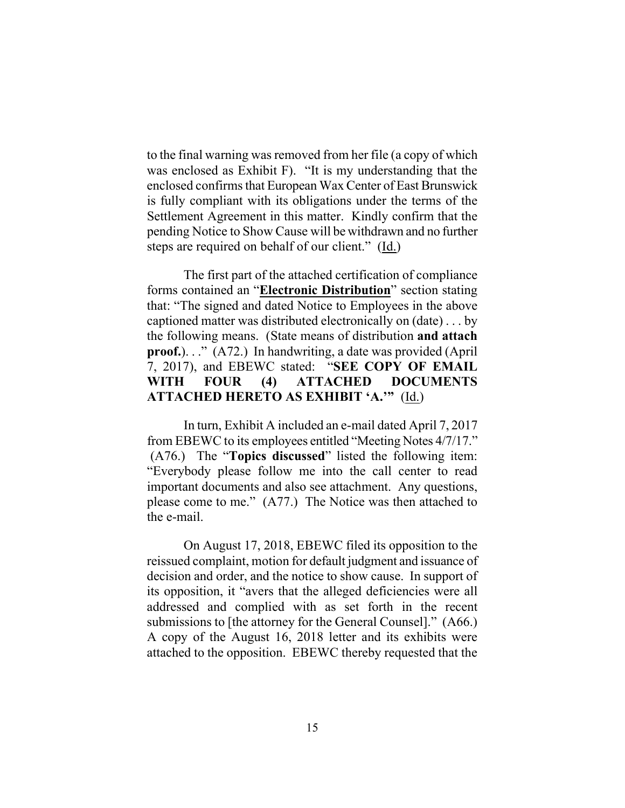to the final warning was removed from her file (a copy of which was enclosed as Exhibit F). "It is my understanding that the enclosed confirms that European Wax Center of East Brunswick is fully compliant with its obligations under the terms of the Settlement Agreement in this matter. Kindly confirm that the pending Notice to Show Cause will be withdrawn and no further steps are required on behalf of our client."  $(\underline{Id})$ 

The first part of the attached certification of compliance forms contained an "**Electronic Distribution**" section stating that: "The signed and dated Notice to Employees in the above captioned matter was distributed electronically on (date) . . . by the following means. (State means of distribution **and attach proof.**). . ." (A72.) In handwriting, a date was provided (April 7, 2017), and EBEWC stated: "**SEE COPY OF EMAIL WITH FOUR (4) ATTACHED DOCUMENTS ATTACHED HERETO AS EXHIBIT 'A.'"** (Id.)

In turn, Exhibit A included an e-mail dated April 7, 2017 from EBEWC to its employees entitled "Meeting Notes 4/7/17." (A76.) The "**Topics discussed**" listed the following item: "Everybody please follow me into the call center to read important documents and also see attachment. Any questions, please come to me." (A77.) The Notice was then attached to the e-mail.

On August 17, 2018, EBEWC filed its opposition to the reissued complaint, motion for default judgment and issuance of decision and order, and the notice to show cause. In support of its opposition, it "avers that the alleged deficiencies were all addressed and complied with as set forth in the recent submissions to [the attorney for the General Counsel]." (A66.) A copy of the August 16, 2018 letter and its exhibits were attached to the opposition. EBEWC thereby requested that the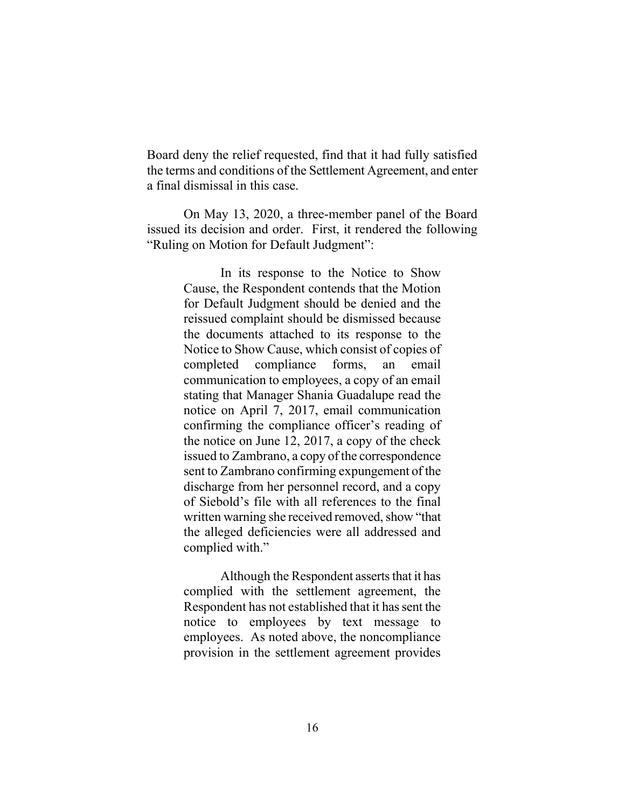Board deny the relief requested, find that it had fully satisfied the terms and conditions of the Settlement Agreement, and enter a final dismissal in this case.

On May 13, 2020, a three-member panel of the Board issued its decision and order. First, it rendered the following "Ruling on Motion for Default Judgment":

> In its response to the Notice to Show Cause, the Respondent contends that the Motion for Default Judgment should be denied and the reissued complaint should be dismissed because the documents attached to its response to the Notice to Show Cause, which consist of copies of completed compliance forms, an email communication to employees, a copy of an email stating that Manager Shania Guadalupe read the notice on April 7, 2017, email communication confirming the compliance officer's reading of the notice on June 12, 2017, a copy of the check issued to Zambrano, a copy of the correspondence sent to Zambrano confirming expungement of the discharge from her personnel record, and a copy of Siebold's file with all references to the final written warning she received removed, show "that the alleged deficiencies were all addressed and complied with."

> Although the Respondent asserts that it has complied with the settlement agreement, the Respondent has not established that it has sent the notice to employees by text message to employees. As noted above, the noncompliance provision in the settlement agreement provides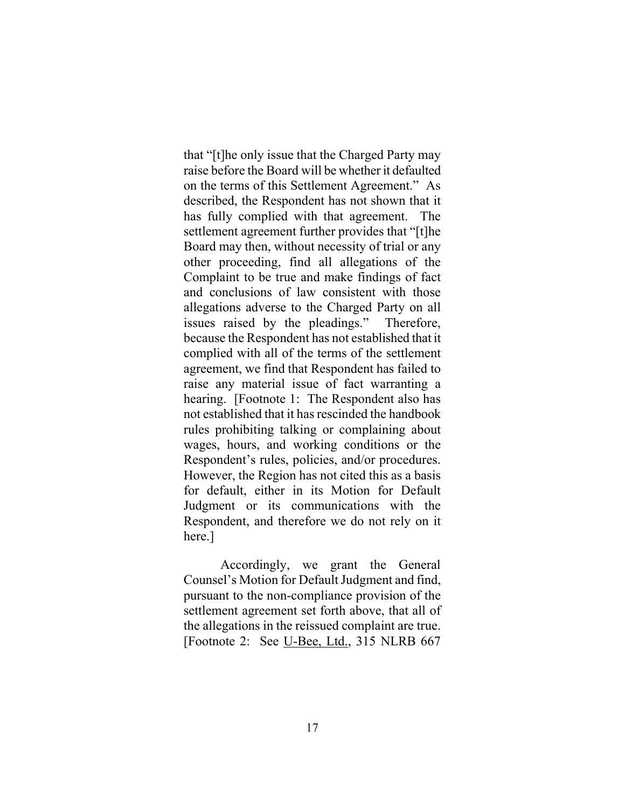that "[t]he only issue that the Charged Party may raise before the Board will be whether it defaulted on the terms of this Settlement Agreement." As described, the Respondent has not shown that it has fully complied with that agreement. The settlement agreement further provides that "[t]he Board may then, without necessity of trial or any other proceeding, find all allegations of the Complaint to be true and make findings of fact and conclusions of law consistent with those allegations adverse to the Charged Party on all issues raised by the pleadings." Therefore, because the Respondent has not established that it complied with all of the terms of the settlement agreement, we find that Respondent has failed to raise any material issue of fact warranting a hearing. [Footnote 1: The Respondent also has not established that it has rescinded the handbook rules prohibiting talking or complaining about wages, hours, and working conditions or the Respondent's rules, policies, and/or procedures. However, the Region has not cited this as a basis for default, either in its Motion for Default Judgment or its communications with the Respondent, and therefore we do not rely on it here.]

Accordingly, we grant the General Counsel's Motion for Default Judgment and find, pursuant to the non-compliance provision of the settlement agreement set forth above, that all of the allegations in the reissued complaint are true. [Footnote 2: See U-Bee, Ltd., 315 NLRB 667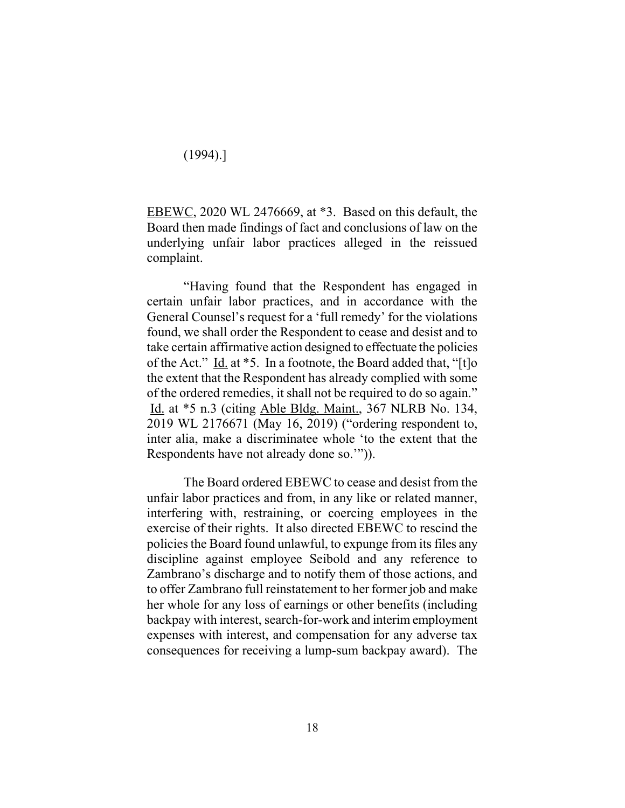(1994).]

EBEWC, 2020 WL 2476669, at \*3. Based on this default, the Board then made findings of fact and conclusions of law on the underlying unfair labor practices alleged in the reissued complaint.

"Having found that the Respondent has engaged in certain unfair labor practices, and in accordance with the General Counsel's request for a 'full remedy' for the violations found, we shall order the Respondent to cease and desist and to take certain affirmative action designed to effectuate the policies of the Act." Id. at \*5. In a footnote, the Board added that, "[t]o the extent that the Respondent has already complied with some of the ordered remedies, it shall not be required to do so again." Id. at \*5 n.3 (citing Able Bldg. Maint., 367 NLRB No. 134, 2019 WL 2176671 (May 16, 2019) ("ordering respondent to, inter alia, make a discriminatee whole 'to the extent that the Respondents have not already done so.'")).

The Board ordered EBEWC to cease and desist from the unfair labor practices and from, in any like or related manner, interfering with, restraining, or coercing employees in the exercise of their rights. It also directed EBEWC to rescind the policies the Board found unlawful, to expunge from its files any discipline against employee Seibold and any reference to Zambrano's discharge and to notify them of those actions, and to offer Zambrano full reinstatement to her former job and make her whole for any loss of earnings or other benefits (including backpay with interest, search-for-work and interim employment expenses with interest, and compensation for any adverse tax consequences for receiving a lump-sum backpay award). The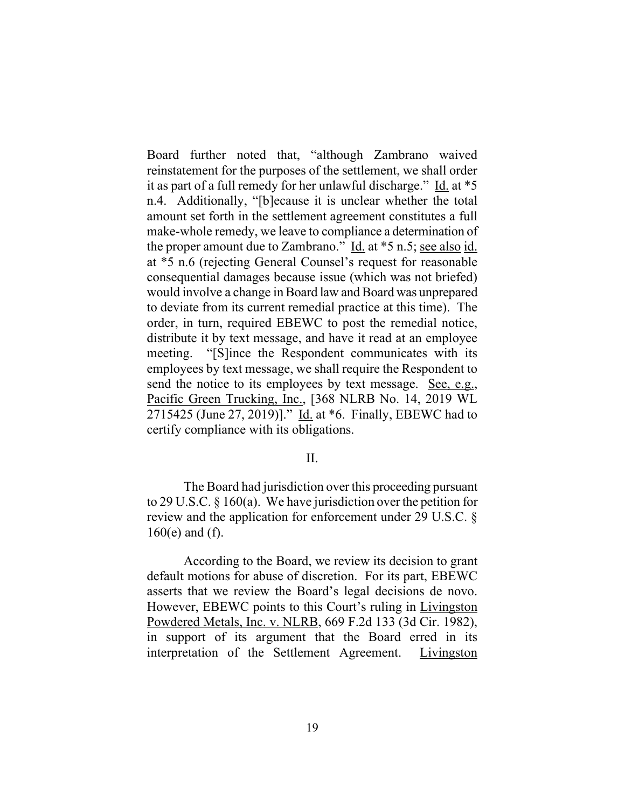Board further noted that, "although Zambrano waived reinstatement for the purposes of the settlement, we shall order it as part of a full remedy for her unlawful discharge." Id. at \*5 n.4. Additionally, "[b]ecause it is unclear whether the total amount set forth in the settlement agreement constitutes a full make-whole remedy, we leave to compliance a determination of the proper amount due to Zambrano." Id. at \*5 n.5; see also id. at \*5 n.6 (rejecting General Counsel's request for reasonable consequential damages because issue (which was not briefed) would involve a change in Board law and Board was unprepared to deviate from its current remedial practice at this time). The order, in turn, required EBEWC to post the remedial notice, distribute it by text message, and have it read at an employee meeting. "[S]ince the Respondent communicates with its employees by text message, we shall require the Respondent to send the notice to its employees by text message. See, e.g., Pacific Green Trucking, Inc., [368 NLRB No. 14, 2019 WL 2715425 (June 27, 2019)]." Id. at \*6. Finally, EBEWC had to certify compliance with its obligations.

#### II.

The Board had jurisdiction over this proceeding pursuant to 29 U.S.C. § 160(a). We have jurisdiction over the petition for review and the application for enforcement under 29 U.S.C. § 160(e) and (f).

According to the Board, we review its decision to grant default motions for abuse of discretion. For its part, EBEWC asserts that we review the Board's legal decisions de novo. However, EBEWC points to this Court's ruling in Livingston Powdered Metals, Inc. v. NLRB, 669 F.2d 133 (3d Cir. 1982), in support of its argument that the Board erred in its interpretation of the Settlement Agreement. Livingston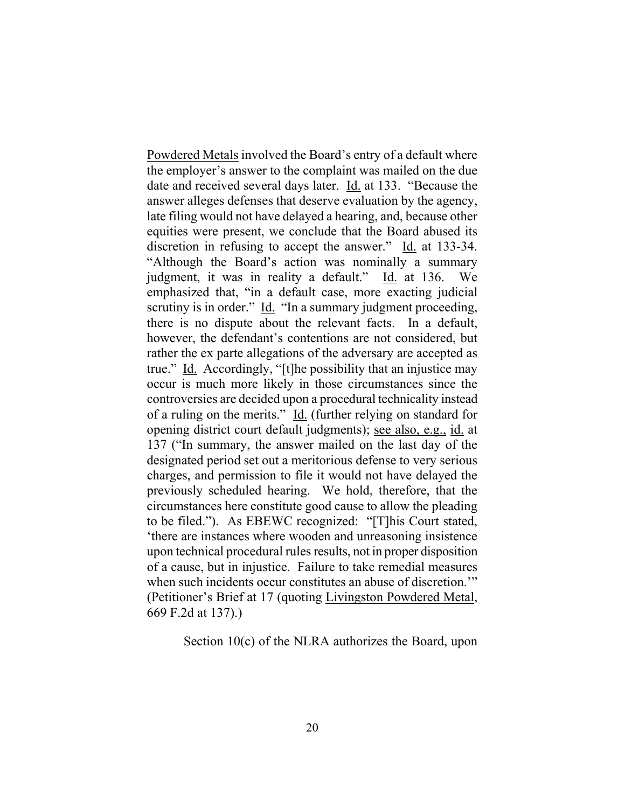Powdered Metals involved the Board's entry of a default where the employer's answer to the complaint was mailed on the due date and received several days later. Id. at 133. "Because the answer alleges defenses that deserve evaluation by the agency, late filing would not have delayed a hearing, and, because other equities were present, we conclude that the Board abused its discretion in refusing to accept the answer." Id. at 133-34. "Although the Board's action was nominally a summary judgment, it was in reality a default." Id. at 136. We emphasized that, "in a default case, more exacting judicial scrutiny is in order." Id. "In a summary judgment proceeding, there is no dispute about the relevant facts. In a default, however, the defendant's contentions are not considered, but rather the ex parte allegations of the adversary are accepted as true." Id. Accordingly, "[t]he possibility that an injustice may occur is much more likely in those circumstances since the controversies are decided upon a procedural technicality instead of a ruling on the merits." Id. (further relying on standard for opening district court default judgments); see also, e.g., id. at 137 ("In summary, the answer mailed on the last day of the designated period set out a meritorious defense to very serious charges, and permission to file it would not have delayed the previously scheduled hearing. We hold, therefore, that the circumstances here constitute good cause to allow the pleading to be filed."). As EBEWC recognized: "[T]his Court stated, 'there are instances where wooden and unreasoning insistence upon technical procedural rules results, not in proper disposition of a cause, but in injustice. Failure to take remedial measures when such incidents occur constitutes an abuse of discretion." (Petitioner's Brief at 17 (quoting Livingston Powdered Metal, 669 F.2d at 137).)

Section 10(c) of the NLRA authorizes the Board, upon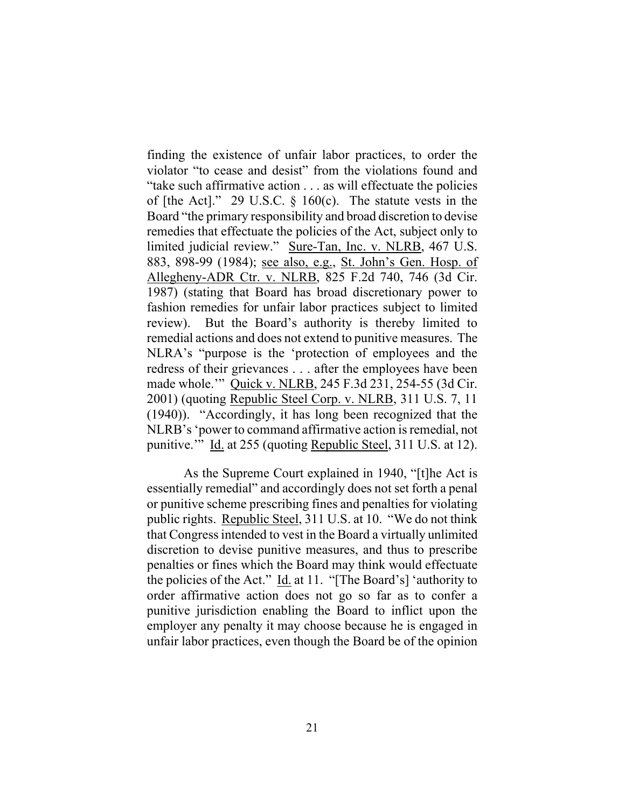finding the existence of unfair labor practices, to order the violator "to cease and desist" from the violations found and "take such affirmative action . . . as will effectuate the policies of [the Act]." 29 U.S.C.  $\S$  160(c). The statute vests in the Board "the primary responsibility and broad discretion to devise remedies that effectuate the policies of the Act, subject only to limited judicial review." Sure-Tan, Inc. v. NLRB, 467 U.S. 883, 898-99 (1984); see also, e.g., St. John's Gen. Hosp. of Allegheny-ADR Ctr. v. NLRB, 825 F.2d 740, 746 (3d Cir. 1987) (stating that Board has broad discretionary power to fashion remedies for unfair labor practices subject to limited review). But the Board's authority is thereby limited to remedial actions and does not extend to punitive measures. The NLRA's "purpose is the 'protection of employees and the redress of their grievances . . . after the employees have been made whole.'" Quick v. NLRB, 245 F.3d 231, 254-55 (3d Cir. 2001) (quoting Republic Steel Corp. v. NLRB, 311 U.S. 7, 11 (1940)). "Accordingly, it has long been recognized that the NLRB's 'power to command affirmative action is remedial, not punitive.'" Id. at 255 (quoting Republic Steel, 311 U.S. at 12).

As the Supreme Court explained in 1940, "[t]he Act is essentially remedial" and accordingly does not set forth a penal or punitive scheme prescribing fines and penalties for violating public rights. Republic Steel, 311 U.S. at 10. "We do not think that Congressintended to vest in the Board a virtually unlimited discretion to devise punitive measures, and thus to prescribe penalties or fines which the Board may think would effectuate the policies of the Act." Id. at 11. "[The Board's] 'authority to order affirmative action does not go so far as to confer a punitive jurisdiction enabling the Board to inflict upon the employer any penalty it may choose because he is engaged in unfair labor practices, even though the Board be of the opinion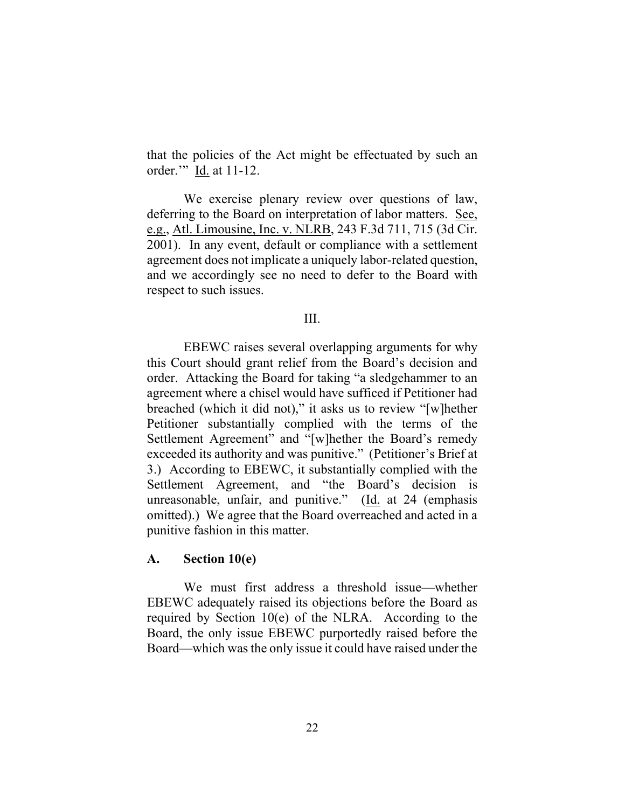that the policies of the Act might be effectuated by such an order." Id. at 11-12.

We exercise plenary review over questions of law, deferring to the Board on interpretation of labor matters. See, e.g., Atl. Limousine, Inc. v. NLRB, 243 F.3d 711, 715 (3d Cir. 2001). In any event, default or compliance with a settlement agreement does not implicate a uniquely labor-related question, and we accordingly see no need to defer to the Board with respect to such issues.

#### III.

EBEWC raises several overlapping arguments for why this Court should grant relief from the Board's decision and order. Attacking the Board for taking "a sledgehammer to an agreement where a chisel would have sufficed if Petitioner had breached (which it did not)," it asks us to review "[w]hether Petitioner substantially complied with the terms of the Settlement Agreement" and "[w]hether the Board's remedy exceeded its authority and was punitive." (Petitioner's Brief at 3.) According to EBEWC, it substantially complied with the Settlement Agreement, and "the Board's decision is unreasonable, unfair, and punitive." (Id. at 24 (emphasis omitted).) We agree that the Board overreached and acted in a punitive fashion in this matter.

#### **A. Section 10(e)**

We must first address a threshold issue—whether EBEWC adequately raised its objections before the Board as required by Section  $10(e)$  of the NLRA. According to the Board, the only issue EBEWC purportedly raised before the Board—which was the only issue it could have raised under the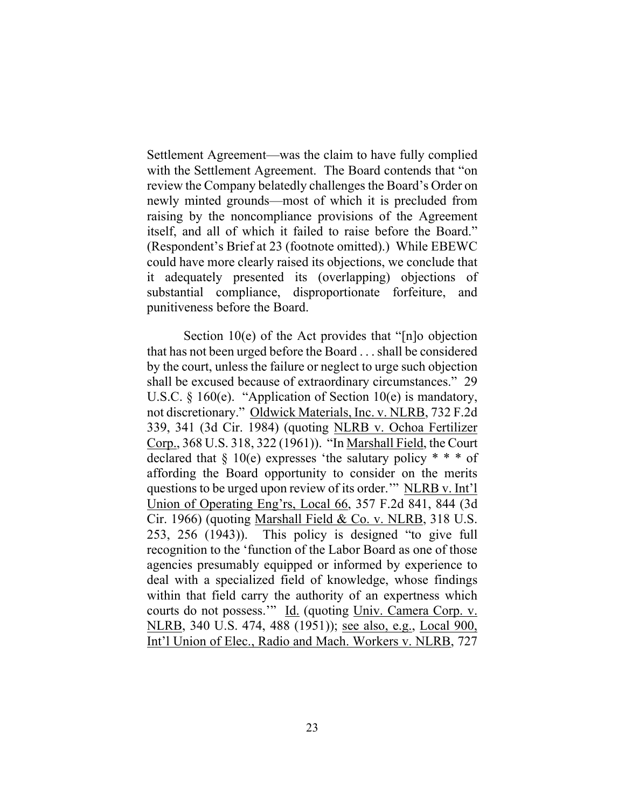Settlement Agreement—was the claim to have fully complied with the Settlement Agreement. The Board contends that "on review the Company belatedly challenges the Board's Order on newly minted grounds—most of which it is precluded from raising by the noncompliance provisions of the Agreement itself, and all of which it failed to raise before the Board." (Respondent's Brief at 23 (footnote omitted).) While EBEWC could have more clearly raised its objections, we conclude that it adequately presented its (overlapping) objections of substantial compliance, disproportionate forfeiture, and punitiveness before the Board.

Section 10(e) of the Act provides that "[n]o objection that has not been urged before the Board . . .shall be considered by the court, unless the failure or neglect to urge such objection shall be excused because of extraordinary circumstances." 29 U.S.C. § 160(e). "Application of Section 10(e) is mandatory, not discretionary." Oldwick Materials, Inc. v. NLRB, 732 F.2d 339, 341 (3d Cir. 1984) (quoting NLRB v. Ochoa Fertilizer Corp., 368 U.S. 318, 322 (1961)). "In Marshall Field, the Court declared that  $\S$  10(e) expresses 'the salutary policy  $* * *$  of affording the Board opportunity to consider on the merits questions to be urged upon review of its order.'" NLRB v. Int'l Union of Operating Eng'rs, Local 66, 357 F.2d 841, 844 (3d Cir. 1966) (quoting Marshall Field & Co. v. NLRB, 318 U.S. 253, 256 (1943)). This policy is designed "to give full recognition to the 'function of the Labor Board as one of those agencies presumably equipped or informed by experience to deal with a specialized field of knowledge, whose findings within that field carry the authority of an expertness which courts do not possess." Id. (quoting Univ. Camera Corp. v. NLRB, 340 U.S. 474, 488 (1951)); see also, e.g., Local 900, Int'l Union of Elec., Radio and Mach. Workers v. NLRB, 727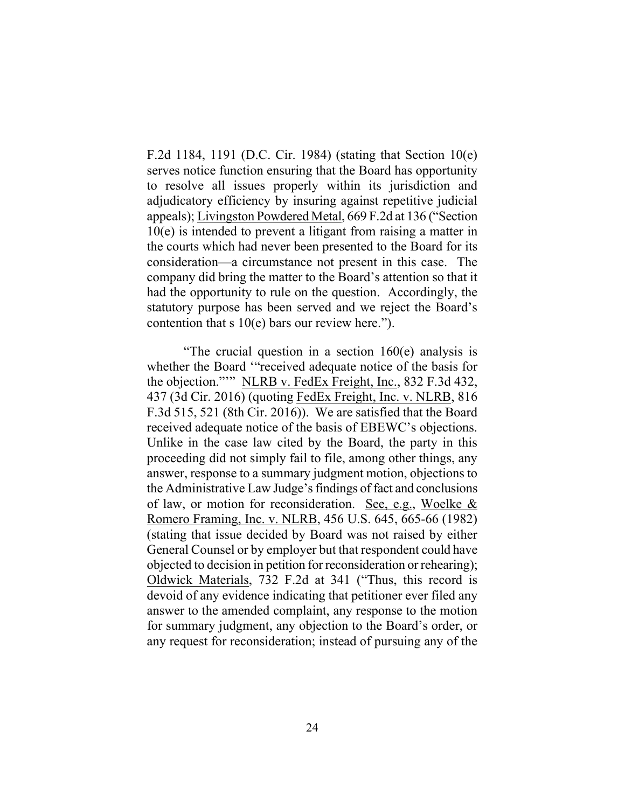F.2d 1184, 1191 (D.C. Cir. 1984) (stating that Section 10(e) serves notice function ensuring that the Board has opportunity to resolve all issues properly within its jurisdiction and adjudicatory efficiency by insuring against repetitive judicial appeals); Livingston Powdered Metal, 669 F.2d at 136 ("Section 10(e) is intended to prevent a litigant from raising a matter in the courts which had never been presented to the Board for its consideration—a circumstance not present in this case. The company did bring the matter to the Board's attention so that it had the opportunity to rule on the question. Accordingly, the statutory purpose has been served and we reject the Board's contention that s  $10(e)$  bars our review here.").

"The crucial question in a section 160(e) analysis is whether the Board '"received adequate notice of the basis for the objection."'" NLRB v. FedEx Freight, Inc., 832 F.3d 432, 437 (3d Cir. 2016) (quoting FedEx Freight, Inc. v. NLRB, 816 F.3d 515, 521 (8th Cir. 2016)). We are satisfied that the Board received adequate notice of the basis of EBEWC's objections. Unlike in the case law cited by the Board, the party in this proceeding did not simply fail to file, among other things, any answer, response to a summary judgment motion, objections to the Administrative Law Judge's findings of fact and conclusions of law, or motion for reconsideration. See, e.g., Woelke & Romero Framing, Inc. v. NLRB, 456 U.S. 645, 665-66 (1982) (stating that issue decided by Board was not raised by either General Counsel or by employer but that respondent could have objected to decision in petition for reconsideration or rehearing); Oldwick Materials, 732 F.2d at 341 ("Thus, this record is devoid of any evidence indicating that petitioner ever filed any answer to the amended complaint, any response to the motion for summary judgment, any objection to the Board's order, or any request for reconsideration; instead of pursuing any of the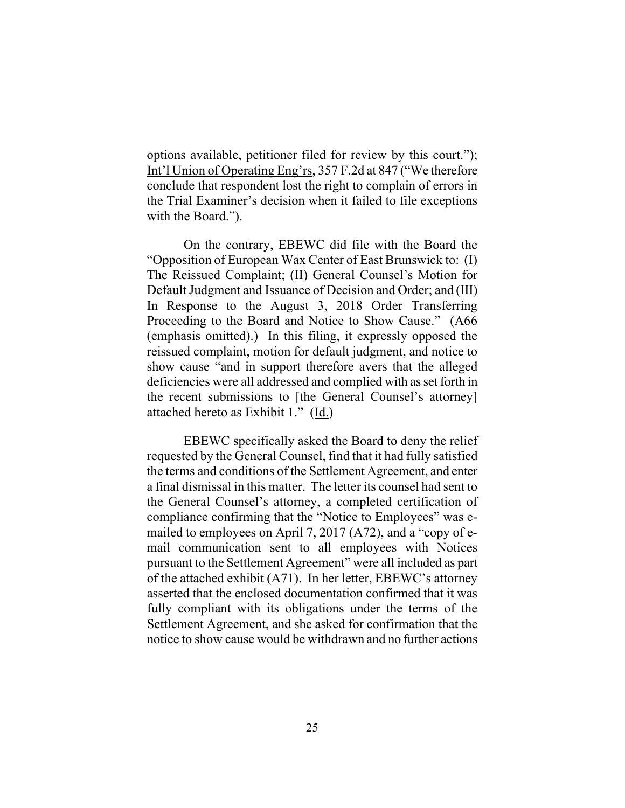options available, petitioner filed for review by this court."); Int'l Union of Operating Eng'rs, 357 F.2d at 847 ("We therefore conclude that respondent lost the right to complain of errors in the Trial Examiner's decision when it failed to file exceptions with the Board.").

On the contrary, EBEWC did file with the Board the "Opposition of European Wax Center of East Brunswick to: (I) The Reissued Complaint; (II) General Counsel's Motion for Default Judgment and Issuance of Decision and Order; and (III) In Response to the August 3, 2018 Order Transferring Proceeding to the Board and Notice to Show Cause." (A66 (emphasis omitted).) In this filing, it expressly opposed the reissued complaint, motion for default judgment, and notice to show cause "and in support therefore avers that the alleged deficiencies were all addressed and complied with as set forth in the recent submissions to [the General Counsel's attorney] attached hereto as Exhibit 1." (Id.)

EBEWC specifically asked the Board to deny the relief requested by the General Counsel, find that it had fully satisfied the terms and conditions of the Settlement Agreement, and enter a final dismissal in this matter. The letter its counsel had sent to the General Counsel's attorney, a completed certification of compliance confirming that the "Notice to Employees" was emailed to employees on April 7, 2017 (A72), and a "copy of email communication sent to all employees with Notices pursuant to the Settlement Agreement" were all included as part of the attached exhibit (A71). In her letter, EBEWC's attorney asserted that the enclosed documentation confirmed that it was fully compliant with its obligations under the terms of the Settlement Agreement, and she asked for confirmation that the notice to show cause would be withdrawn and no further actions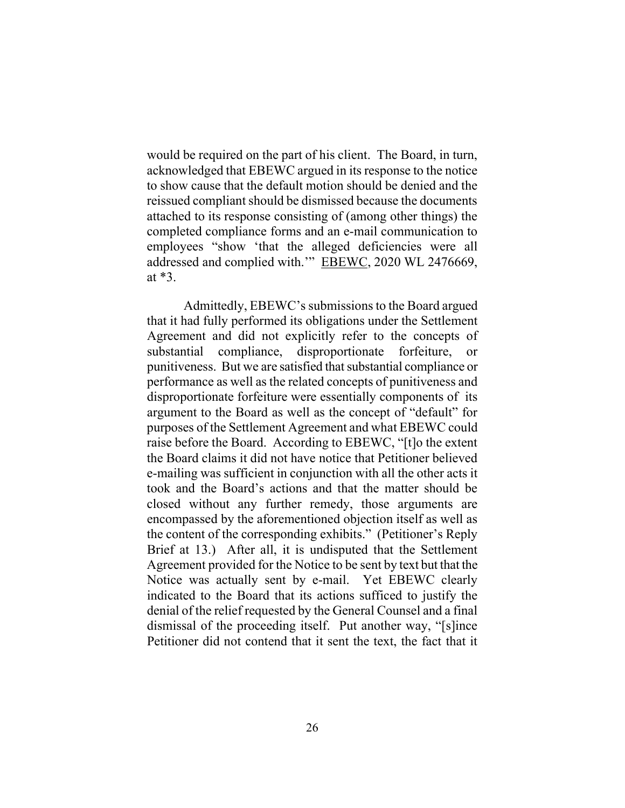would be required on the part of his client. The Board, in turn, acknowledged that EBEWC argued in itsresponse to the notice to show cause that the default motion should be denied and the reissued compliant should be dismissed because the documents attached to its response consisting of (among other things) the completed compliance forms and an e-mail communication to employees "show 'that the alleged deficiencies were all addressed and complied with." EBEWC, 2020 WL 2476669, at \*3.

Admittedly, EBEWC's submissions to the Board argued that it had fully performed its obligations under the Settlement Agreement and did not explicitly refer to the concepts of substantial compliance, disproportionate forfeiture, or punitiveness. But we are satisfied that substantial compliance or performance as well as the related concepts of punitiveness and disproportionate forfeiture were essentially components of its argument to the Board as well as the concept of "default" for purposes of the Settlement Agreement and what EBEWC could raise before the Board. According to EBEWC, "[t]o the extent the Board claims it did not have notice that Petitioner believed e-mailing was sufficient in conjunction with all the other acts it took and the Board's actions and that the matter should be closed without any further remedy, those arguments are encompassed by the aforementioned objection itself as well as the content of the corresponding exhibits." (Petitioner's Reply Brief at 13.) After all, it is undisputed that the Settlement Agreement provided for the Notice to be sent by text but that the Notice was actually sent by e-mail. Yet EBEWC clearly indicated to the Board that its actions sufficed to justify the denial of the relief requested by the General Counsel and a final dismissal of the proceeding itself. Put another way, "[s]ince Petitioner did not contend that it sent the text, the fact that it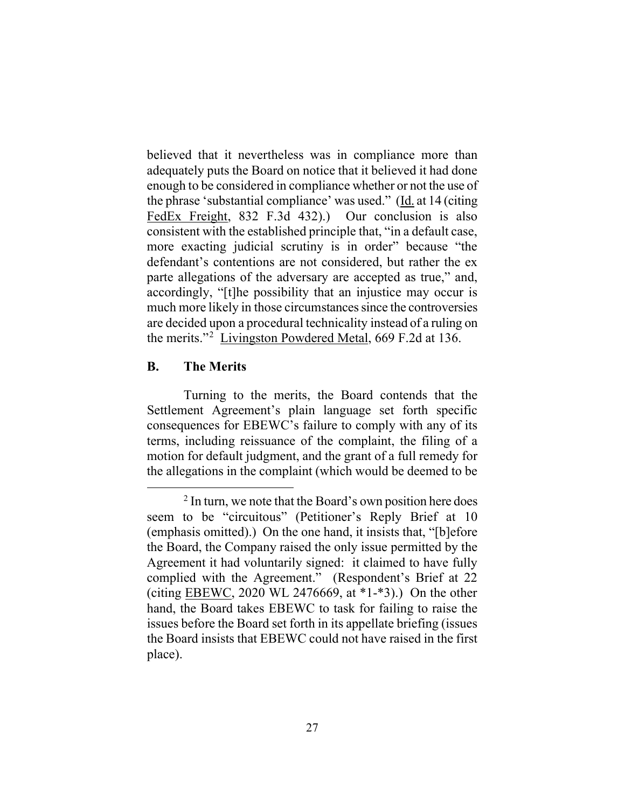believed that it nevertheless was in compliance more than adequately puts the Board on notice that it believed it had done enough to be considered in compliance whether or not the use of the phrase 'substantial compliance' was used." (Id. at 14 (citing FedEx Freight, 832 F.3d 432).) Our conclusion is also consistent with the established principle that, "in a default case, more exacting judicial scrutiny is in order" because "the defendant's contentions are not considered, but rather the ex parte allegations of the adversary are accepted as true," and, accordingly, "[t]he possibility that an injustice may occur is much more likely in those circumstances since the controversies are decided upon a procedural technicality instead of a ruling on the merits."2 Livingston Powdered Metal, 669 F.2d at 136.

### **B. The Merits**

Turning to the merits, the Board contends that the Settlement Agreement's plain language set forth specific consequences for EBEWC's failure to comply with any of its terms, including reissuance of the complaint, the filing of a motion for default judgment, and the grant of a full remedy for the allegations in the complaint (which would be deemed to be

 $2 \text{ In turn, we note that the Board's own position here does }$ seem to be "circuitous" (Petitioner's Reply Brief at 10 (emphasis omitted).) On the one hand, it insists that, "[b]efore the Board, the Company raised the only issue permitted by the Agreement it had voluntarily signed: it claimed to have fully complied with the Agreement." (Respondent's Brief at 22 (citing EBEWC, 2020 WL 2476669, at \*1-\*3).) On the other hand, the Board takes EBEWC to task for failing to raise the issues before the Board set forth in its appellate briefing (issues the Board insists that EBEWC could not have raised in the first place).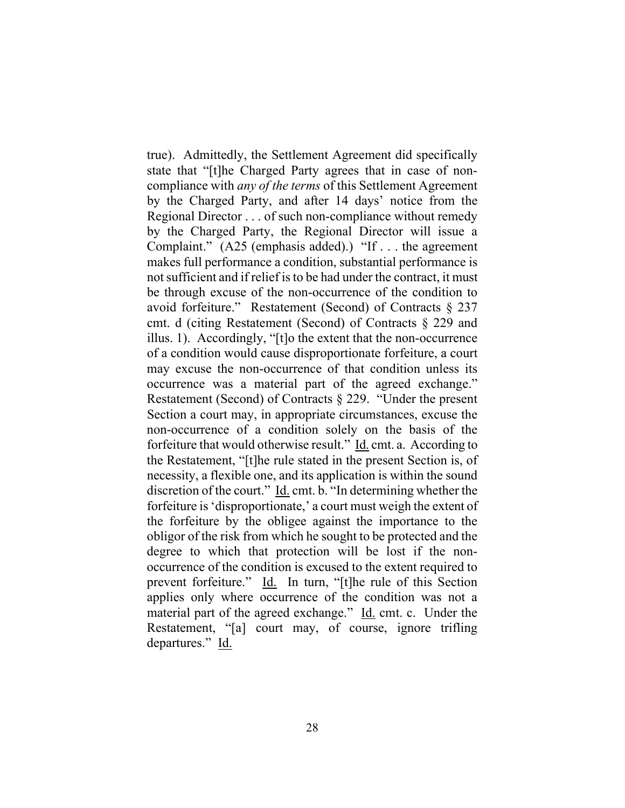true). Admittedly, the Settlement Agreement did specifically state that "[t]he Charged Party agrees that in case of noncompliance with *any of the terms* of this Settlement Agreement by the Charged Party, and after 14 days' notice from the Regional Director . . . of such non-compliance without remedy by the Charged Party, the Regional Director will issue a Complaint." (A25 (emphasis added).) "If . . . the agreement makes full performance a condition, substantial performance is not sufficient and if relief is to be had under the contract, it must be through excuse of the non-occurrence of the condition to avoid forfeiture." Restatement (Second) of Contracts § 237 cmt. d (citing Restatement (Second) of Contracts § 229 and illus. 1). Accordingly, "[t]o the extent that the non-occurrence of a condition would cause disproportionate forfeiture, a court may excuse the non-occurrence of that condition unless its occurrence was a material part of the agreed exchange." Restatement (Second) of Contracts § 229. "Under the present Section a court may, in appropriate circumstances, excuse the non-occurrence of a condition solely on the basis of the forfeiture that would otherwise result." Id. cmt. a. According to the Restatement, "[t]he rule stated in the present Section is, of necessity, a flexible one, and its application is within the sound discretion of the court." Id. cmt. b. "In determining whether the forfeiture is'disproportionate,' a court must weigh the extent of the forfeiture by the obligee against the importance to the obligor of the risk from which he sought to be protected and the degree to which that protection will be lost if the nonoccurrence of the condition is excused to the extent required to prevent forfeiture." Id. In turn, "[t]he rule of this Section applies only where occurrence of the condition was not a material part of the agreed exchange." Id. cmt. c. Under the Restatement, "[a] court may, of course, ignore trifling departures." Id.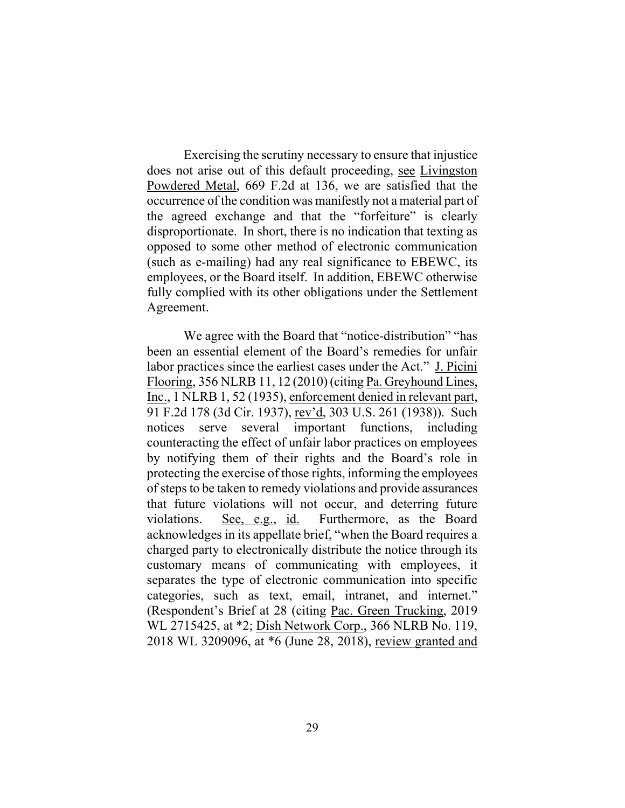Exercising the scrutiny necessary to ensure that injustice does not arise out of this default proceeding, see Livingston Powdered Metal, 669 F.2d at 136, we are satisfied that the occurrence of the condition was manifestly not a material part of the agreed exchange and that the "forfeiture" is clearly disproportionate. In short, there is no indication that texting as opposed to some other method of electronic communication (such as e-mailing) had any real significance to EBEWC, its employees, or the Board itself. In addition, EBEWC otherwise fully complied with its other obligations under the Settlement Agreement.

We agree with the Board that "notice-distribution" "has been an essential element of the Board's remedies for unfair labor practices since the earliest cases under the Act." J. Picini Flooring, 356 NLRB 11, 12 (2010) (citing Pa. Greyhound Lines, Inc., 1 NLRB 1, 52 (1935), enforcement denied in relevant part, 91 F.2d 178 (3d Cir. 1937), rev'd, 303 U.S. 261 (1938)). Such notices serve several important functions, including counteracting the effect of unfair labor practices on employees by notifying them of their rights and the Board's role in protecting the exercise of those rights, informing the employees of steps to be taken to remedy violations and provide assurances that future violations will not occur, and deterring future violations. See, e.g., id. Furthermore, as the Board acknowledges in its appellate brief, "when the Board requires a charged party to electronically distribute the notice through its customary means of communicating with employees, it separates the type of electronic communication into specific categories, such as text, email, intranet, and internet." (Respondent's Brief at 28 (citing Pac. Green Trucking, 2019 WL 2715425, at \*2; Dish Network Corp., 366 NLRB No. 119, 2018 WL 3209096, at \*6 (June 28, 2018), review granted and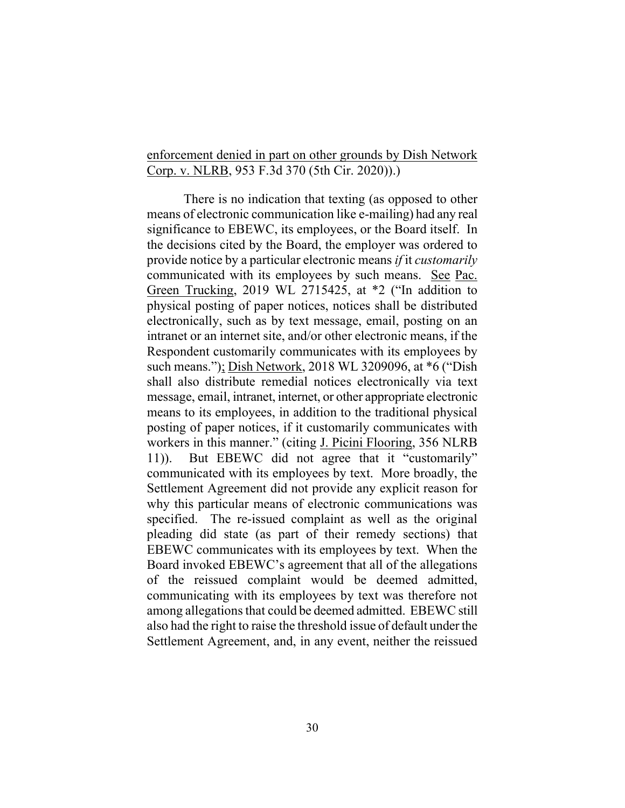### enforcement denied in part on other grounds by Dish Network Corp. v. NLRB, 953 F.3d 370 (5th Cir. 2020)).)

There is no indication that texting (as opposed to other means of electronic communication like e-mailing) had any real significance to EBEWC, its employees, or the Board itself. In the decisions cited by the Board, the employer was ordered to provide notice by a particular electronic means *if* it *customarily* communicated with its employees by such means. See Pac. Green Trucking, 2019 WL 2715425, at \*2 ("In addition to physical posting of paper notices, notices shall be distributed electronically, such as by text message, email, posting on an intranet or an internet site, and/or other electronic means, if the Respondent customarily communicates with its employees by such means."); Dish Network, 2018 WL 3209096, at \*6 ("Dish shall also distribute remedial notices electronically via text message, email, intranet, internet, or other appropriate electronic means to its employees, in addition to the traditional physical posting of paper notices, if it customarily communicates with workers in this manner." (citing J. Picini Flooring, 356 NLRB 11)). But EBEWC did not agree that it "customarily" communicated with its employees by text. More broadly, the Settlement Agreement did not provide any explicit reason for why this particular means of electronic communications was specified. The re-issued complaint as well as the original pleading did state (as part of their remedy sections) that EBEWC communicates with its employees by text. When the Board invoked EBEWC's agreement that all of the allegations of the reissued complaint would be deemed admitted, communicating with its employees by text was therefore not among allegations that could be deemed admitted. EBEWC still also had the right to raise the threshold issue of default under the Settlement Agreement, and, in any event, neither the reissued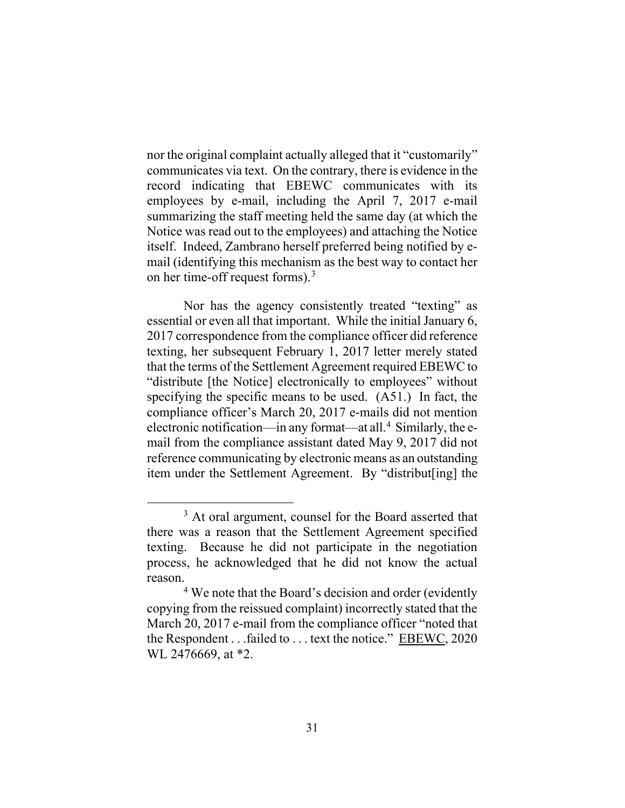nor the original complaint actually alleged that it "customarily" communicates via text. On the contrary, there is evidence in the record indicating that EBEWC communicates with its employees by e-mail, including the April 7, 2017 e-mail summarizing the staff meeting held the same day (at which the Notice was read out to the employees) and attaching the Notice itself. Indeed, Zambrano herself preferred being notified by email (identifying this mechanism as the best way to contact her on her time-off request forms). 3

Nor has the agency consistently treated "texting" as essential or even all that important. While the initial January 6, 2017 correspondence from the compliance officer did reference texting, her subsequent February 1, 2017 letter merely stated that the terms of the Settlement Agreement required EBEWCto "distribute [the Notice] electronically to employees" without specifying the specific means to be used. (A51.) In fact, the compliance officer's March 20, 2017 e-mails did not mention electronic notification—in any format—at all. <sup>4</sup> Similarly, the email from the compliance assistant dated May 9, 2017 did not reference communicating by electronic means as an outstanding item under the Settlement Agreement. By "distribut[ing] the

<sup>&</sup>lt;sup>3</sup> At oral argument, counsel for the Board asserted that there was a reason that the Settlement Agreement specified texting. Because he did not participate in the negotiation process, he acknowledged that he did not know the actual reason.

<sup>&</sup>lt;sup>4</sup> We note that the Board's decision and order (evidently copying from the reissued complaint) incorrectly stated that the March 20, 2017 e-mail from the compliance officer "noted that the Respondent . . .failed to . . . text the notice." EBEWC, 2020 WL 2476669, at \*2.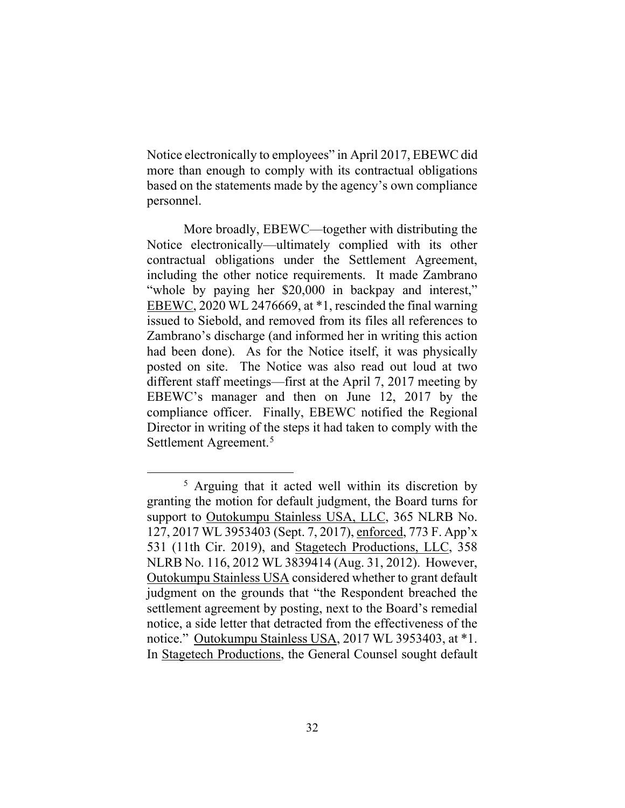Notice electronically to employees" in April 2017, EBEWC did more than enough to comply with its contractual obligations based on the statements made by the agency's own compliance personnel.

More broadly, EBEWC—together with distributing the Notice electronically—ultimately complied with its other contractual obligations under the Settlement Agreement, including the other notice requirements. It made Zambrano "whole by paying her \$20,000 in backpay and interest," EBEWC, 2020 WL 2476669, at \*1, rescinded the final warning issued to Siebold, and removed from its files all references to Zambrano's discharge (and informed her in writing this action had been done). As for the Notice itself, it was physically posted on site. The Notice was also read out loud at two different staff meetings—first at the April 7, 2017 meeting by EBEWC's manager and then on June 12, 2017 by the compliance officer. Finally, EBEWC notified the Regional Director in writing of the steps it had taken to comply with the Settlement Agreement.<sup>5</sup>

<sup>5</sup> Arguing that it acted well within its discretion by granting the motion for default judgment, the Board turns for support to Outokumpu Stainless USA, LLC, 365 NLRB No. 127, 2017 WL 3953403 (Sept. 7, 2017), enforced, 773 F. App'x 531 (11th Cir. 2019), and Stagetech Productions, LLC, 358 NLRB No. 116, 2012 WL 3839414 (Aug. 31, 2012). However, Outokumpu Stainless USA considered whether to grant default judgment on the grounds that "the Respondent breached the settlement agreement by posting, next to the Board's remedial notice, a side letter that detracted from the effectiveness of the notice." Outokumpu Stainless USA, 2017 WL 3953403, at \*1. In Stagetech Productions, the General Counsel sought default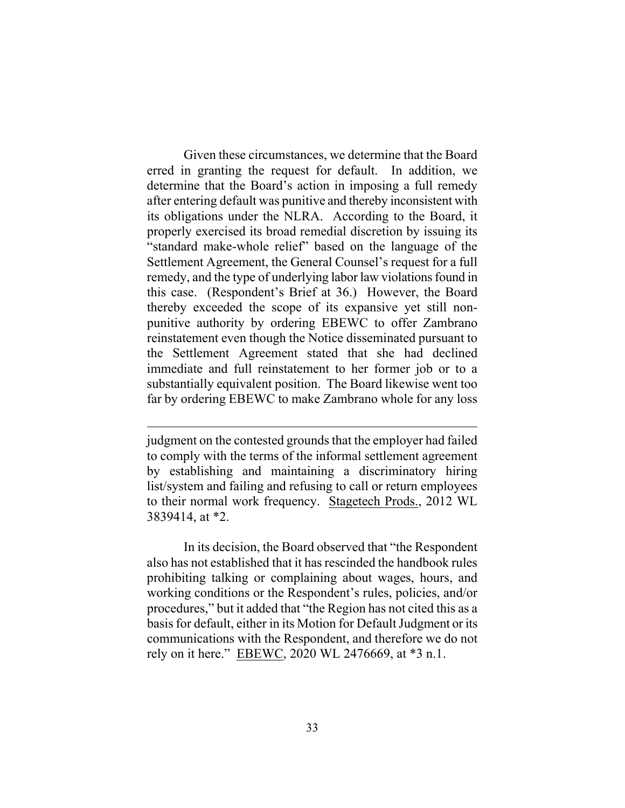Given these circumstances, we determine that the Board erred in granting the request for default. In addition, we determine that the Board's action in imposing a full remedy after entering default was punitive and thereby inconsistent with its obligations under the NLRA. According to the Board, it properly exercised its broad remedial discretion by issuing its "standard make-whole relief" based on the language of the Settlement Agreement, the General Counsel's request for a full remedy, and the type of underlying labor law violations found in this case. (Respondent's Brief at 36.) However, the Board thereby exceeded the scope of its expansive yet still nonpunitive authority by ordering EBEWC to offer Zambrano reinstatement even though the Notice disseminated pursuant to the Settlement Agreement stated that she had declined immediate and full reinstatement to her former job or to a substantially equivalent position. The Board likewise went too far by ordering EBEWC to make Zambrano whole for any loss

In its decision, the Board observed that "the Respondent also has not established that it has rescinded the handbook rules prohibiting talking or complaining about wages, hours, and working conditions or the Respondent's rules, policies, and/or procedures," but it added that "the Region has not cited this as a basis for default, either in its Motion for Default Judgment or its communications with the Respondent, and therefore we do not rely on it here." EBEWC, 2020 WL 2476669, at \*3 n.1.

judgment on the contested grounds that the employer had failed to comply with the terms of the informal settlement agreement by establishing and maintaining a discriminatory hiring list/system and failing and refusing to call or return employees to their normal work frequency. Stagetech Prods., 2012 WL 3839414, at \*2.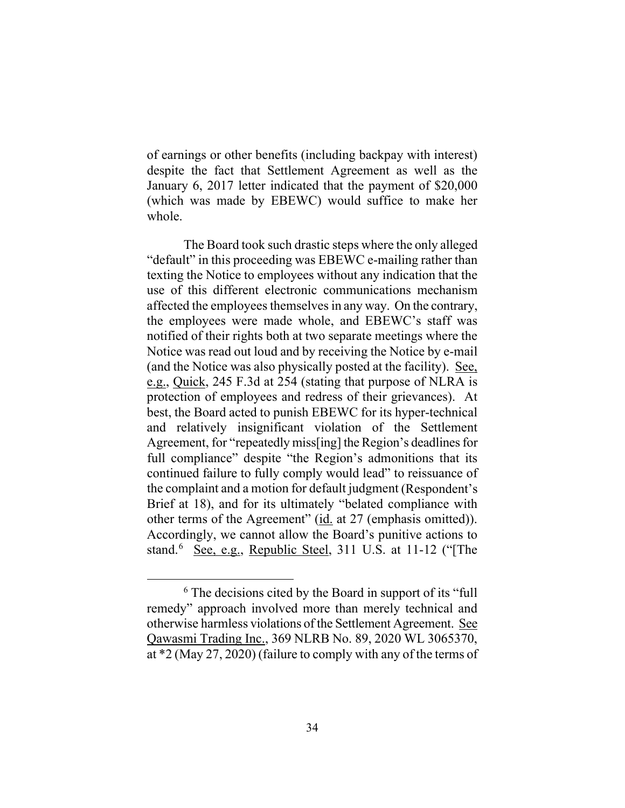of earnings or other benefits (including backpay with interest) despite the fact that Settlement Agreement as well as the January 6, 2017 letter indicated that the payment of \$20,000 (which was made by EBEWC) would suffice to make her whole.

The Board took such drastic steps where the only alleged "default" in this proceeding was EBEWC e-mailing rather than texting the Notice to employees without any indication that the use of this different electronic communications mechanism affected the employees themselves in any way. On the contrary, the employees were made whole, and EBEWC's staff was notified of their rights both at two separate meetings where the Notice was read out loud and by receiving the Notice by e-mail (and the Notice was also physically posted at the facility). See, e.g., Quick, 245 F.3d at 254 (stating that purpose of NLRA is protection of employees and redress of their grievances). At best, the Board acted to punish EBEWC for its hyper-technical and relatively insignificant violation of the Settlement Agreement, for "repeatedly miss[ing] the Region's deadlines for full compliance" despite "the Region's admonitions that its continued failure to fully comply would lead" to reissuance of the complaint and a motion for default judgment (Respondent's Brief at 18), and for its ultimately "belated compliance with other terms of the Agreement" (id. at 27 (emphasis omitted)). Accordingly, we cannot allow the Board's punitive actions to stand.<sup>6</sup> See, e.g., Republic Steel, 311 U.S. at 11-12 ("[The

<sup>6</sup> The decisions cited by the Board in support of its "full remedy" approach involved more than merely technical and otherwise harmless violations of the Settlement Agreement. See Qawasmi Trading Inc., 369 NLRB No. 89, 2020 WL 3065370, at \*2 (May 27, 2020) (failure to comply with any of the terms of